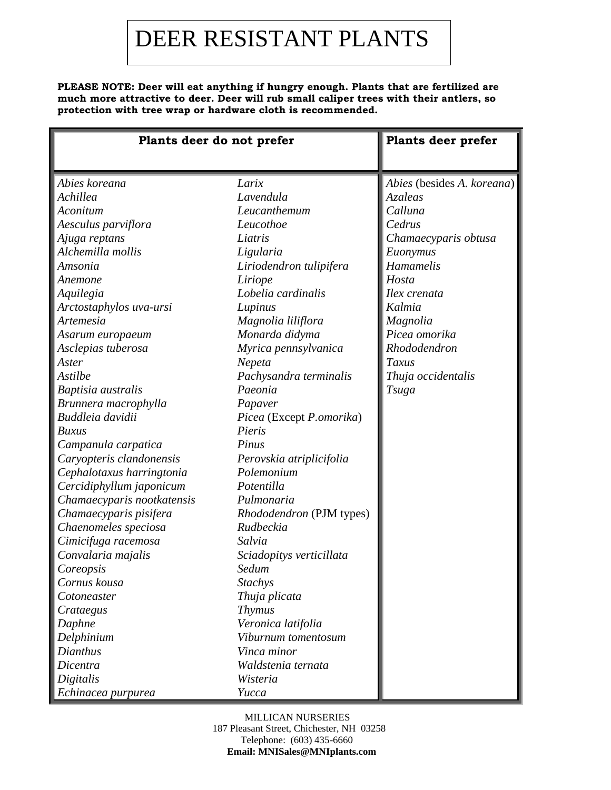## DEER RESISTANT PLANTS

**PLEASE NOTE: Deer will eat anything if hungry enough. Plants that are fertilized are much more attractive to deer. Deer will rub small caliper trees with their antlers, so protection with tree wrap or hardware cloth is recommended.**

| Plants deer do not prefer                                                                                                                                                                                                                                                                                                                                                                                             |                                                                                                                                                                                                                                                                                                                                                                      | <b>Plants deer prefer</b>                                                                                                                                                                                                                         |
|-----------------------------------------------------------------------------------------------------------------------------------------------------------------------------------------------------------------------------------------------------------------------------------------------------------------------------------------------------------------------------------------------------------------------|----------------------------------------------------------------------------------------------------------------------------------------------------------------------------------------------------------------------------------------------------------------------------------------------------------------------------------------------------------------------|---------------------------------------------------------------------------------------------------------------------------------------------------------------------------------------------------------------------------------------------------|
| Abies koreana<br>Achillea<br>Aconitum<br>Aesculus parviflora<br>Ajuga reptans<br>Alchemilla mollis<br>Amsonia<br>Anemone<br>Aquilegia<br>Arctostaphylos uva-ursi<br>Artemesia<br>Asarum europaeum<br>Asclepias tuberosa<br>Aster<br>Astilbe<br>Baptisia australis<br>Brunnera macrophylla                                                                                                                             | Larix<br>Lavendula<br>Leucanthemum<br>Leucothoe<br>Liatris<br>Ligularia<br>Liriodendron tulipifera<br>Liriope<br>Lobelia cardinalis<br>Lupinus<br>Magnolia liliflora<br>Monarda didyma<br>Myrica pennsylvanica<br>Nepeta<br>Pachysandra terminalis<br>Paeonia<br>Papaver                                                                                             | Abies (besides A. koreana)<br><b>Azaleas</b><br>Calluna<br>Cedrus<br>Chamaecyparis obtusa<br>Euonymus<br>Hamamelis<br>Hosta<br>Ilex crenata<br>Kalmia<br>Magnolia<br>Picea omorika<br>Rhododendron<br>Taxus<br>Thuja occidentalis<br><b>Tsuga</b> |
| Buddleia davidii<br><b>Buxus</b><br>Campanula carpatica<br>Caryopteris clandonensis<br>Cephalotaxus harringtonia<br>Cercidiphyllum japonicum<br>Chamaecyparis nootkatensis<br>Chamaecyparis pisifera<br>Chaenomeles speciosa<br>Cimicifuga racemosa<br>Convalaria majalis<br>Coreopsis<br>Cornus kousa<br>Cotoneaster<br>Crataegus<br>Daphne<br>Delphinium<br>Dianthus<br>Dicentra<br>Digitalis<br>Echinacea purpurea | Picea (Except P.omorika)<br>Pieris<br>Pinus<br>Perovskia atriplicifolia<br>Polemonium<br>Potentilla<br>Pulmonaria<br>Rhododendron (PJM types)<br>Rudbeckia<br>Salvia<br>Sciadopitys verticillata<br>Sedum<br><b>Stachys</b><br>Thuja plicata<br><b>Thymus</b><br>Veronica latifolia<br>Viburnum tomentosum<br>Vinca minor<br>Waldstenia ternata<br>Wisteria<br>Yucca |                                                                                                                                                                                                                                                   |

## MILLICAN NURSERIES

 187 Pleasant Street, Chichester, NH 03258 Telephone: (603) 435-6660  **Email: MNISales@MNIplants.com**